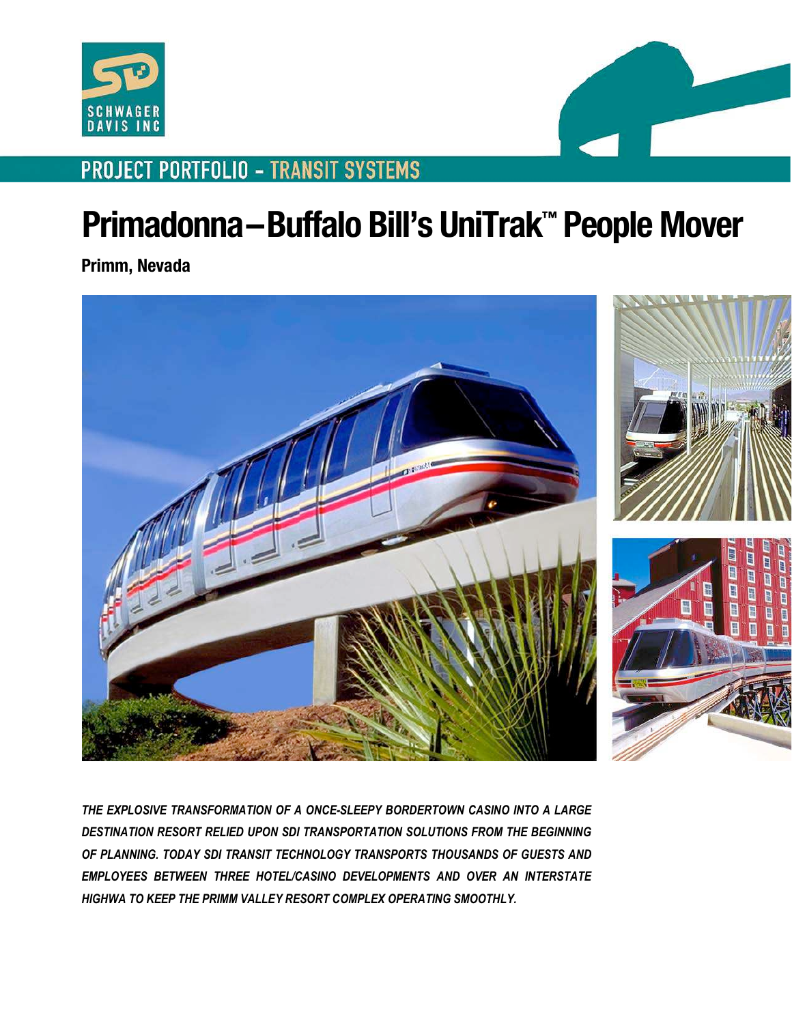



## **PROJECT PORTFOLIO - TRANSIT SYSTEMS**

## **Primadonna–Buffalo Bill's UniTrak™ People Mover**

**Primm, Nevada** 



*THE EXPLOSIVE TRANSFORMATION OF A ONCE-SLEEPY BORDERTOWN CASINO INTO A LARGE DESTINATION RESORT RELIED UPON SDI TRANSPORTATION SOLUTIONS FROM THE BEGINNING OF PLANNING. TODAY SDI TRANSIT TECHNOLOGY TRANSPORTS THOUSANDS OF GUESTS AND EMPLOYEES BETWEEN THREE HOTEL/CASINO DEVELOPMENTS AND OVER AN INTERSTATE HIGHWA TO KEEP THE PRIMM VALLEY RESORT COMPLEX OPERATING SMOOTHLY.*